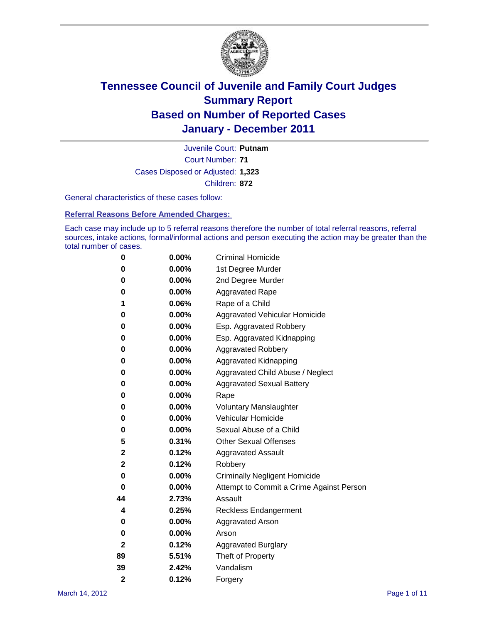

Court Number: **71** Juvenile Court: **Putnam** Cases Disposed or Adjusted: **1,323** Children: **872**

General characteristics of these cases follow:

**Referral Reasons Before Amended Charges:** 

Each case may include up to 5 referral reasons therefore the number of total referral reasons, referral sources, intake actions, formal/informal actions and person executing the action may be greater than the total number of cases.

| 0              | 0.00% | <b>Criminal Homicide</b>                 |
|----------------|-------|------------------------------------------|
| 0              | 0.00% | 1st Degree Murder                        |
| 0              | 0.00% | 2nd Degree Murder                        |
| 0              | 0.00% | <b>Aggravated Rape</b>                   |
| 1              | 0.06% | Rape of a Child                          |
| 0              | 0.00% | Aggravated Vehicular Homicide            |
| 0              | 0.00% | Esp. Aggravated Robbery                  |
| 0              | 0.00% | Esp. Aggravated Kidnapping               |
| 0              | 0.00% | <b>Aggravated Robbery</b>                |
| 0              | 0.00% | Aggravated Kidnapping                    |
| 0              | 0.00% | Aggravated Child Abuse / Neglect         |
| 0              | 0.00% | <b>Aggravated Sexual Battery</b>         |
| 0              | 0.00% | Rape                                     |
| 0              | 0.00% | <b>Voluntary Manslaughter</b>            |
| 0              | 0.00% | Vehicular Homicide                       |
| 0              | 0.00% | Sexual Abuse of a Child                  |
| 5              | 0.31% | <b>Other Sexual Offenses</b>             |
| 2              | 0.12% | <b>Aggravated Assault</b>                |
| 2              | 0.12% | Robbery                                  |
| 0              | 0.00% | <b>Criminally Negligent Homicide</b>     |
| 0              | 0.00% | Attempt to Commit a Crime Against Person |
| 44             | 2.73% | Assault                                  |
| 4              | 0.25% | <b>Reckless Endangerment</b>             |
| 0              | 0.00% | <b>Aggravated Arson</b>                  |
| 0              | 0.00% | Arson                                    |
| 2              | 0.12% | <b>Aggravated Burglary</b>               |
| 89             | 5.51% | Theft of Property                        |
| 39             | 2.42% | Vandalism                                |
| $\overline{2}$ | 0.12% | Forgery                                  |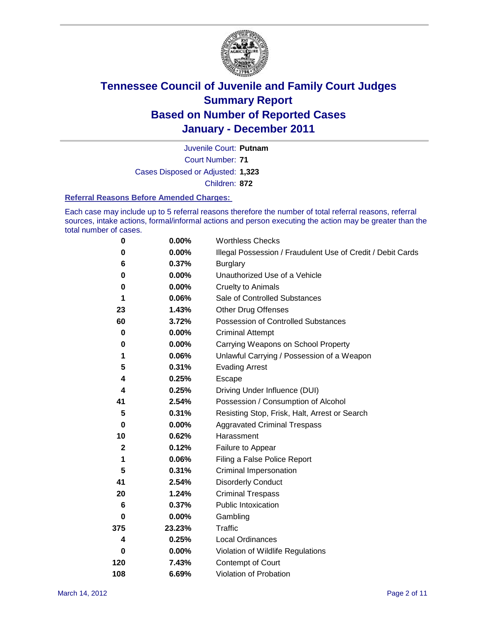

Court Number: **71** Juvenile Court: **Putnam** Cases Disposed or Adjusted: **1,323** Children: **872**

#### **Referral Reasons Before Amended Charges:**

Each case may include up to 5 referral reasons therefore the number of total referral reasons, referral sources, intake actions, formal/informal actions and person executing the action may be greater than the total number of cases.

| $\pmb{0}$   | 0.00%    | <b>Worthless Checks</b>                                     |
|-------------|----------|-------------------------------------------------------------|
| 0           | $0.00\%$ | Illegal Possession / Fraudulent Use of Credit / Debit Cards |
| 6           | 0.37%    | <b>Burglary</b>                                             |
| $\bf{0}$    | $0.00\%$ | Unauthorized Use of a Vehicle                               |
| 0           | $0.00\%$ | <b>Cruelty to Animals</b>                                   |
| 1           | 0.06%    | Sale of Controlled Substances                               |
| 23          | 1.43%    | <b>Other Drug Offenses</b>                                  |
| 60          | 3.72%    | Possession of Controlled Substances                         |
| $\mathbf 0$ | $0.00\%$ | <b>Criminal Attempt</b>                                     |
| 0           | 0.00%    | Carrying Weapons on School Property                         |
| 1           | 0.06%    | Unlawful Carrying / Possession of a Weapon                  |
| 5           | 0.31%    | <b>Evading Arrest</b>                                       |
| 4           | 0.25%    | Escape                                                      |
| 4           | 0.25%    | Driving Under Influence (DUI)                               |
| 41          | 2.54%    | Possession / Consumption of Alcohol                         |
| 5           | 0.31%    | Resisting Stop, Frisk, Halt, Arrest or Search               |
| $\mathbf 0$ | $0.00\%$ | <b>Aggravated Criminal Trespass</b>                         |
| 10          | 0.62%    | Harassment                                                  |
| $\mathbf 2$ | 0.12%    | Failure to Appear                                           |
| 1           | 0.06%    | Filing a False Police Report                                |
| 5           | 0.31%    | Criminal Impersonation                                      |
| 41          | 2.54%    | <b>Disorderly Conduct</b>                                   |
| 20          | 1.24%    | <b>Criminal Trespass</b>                                    |
| 6           | 0.37%    | <b>Public Intoxication</b>                                  |
| 0           | 0.00%    | Gambling                                                    |
| 375         | 23.23%   | <b>Traffic</b>                                              |
| 4           | 0.25%    | <b>Local Ordinances</b>                                     |
| $\mathbf 0$ | 0.00%    | Violation of Wildlife Regulations                           |
| 120         | 7.43%    | Contempt of Court                                           |
| 108         | 6.69%    | Violation of Probation                                      |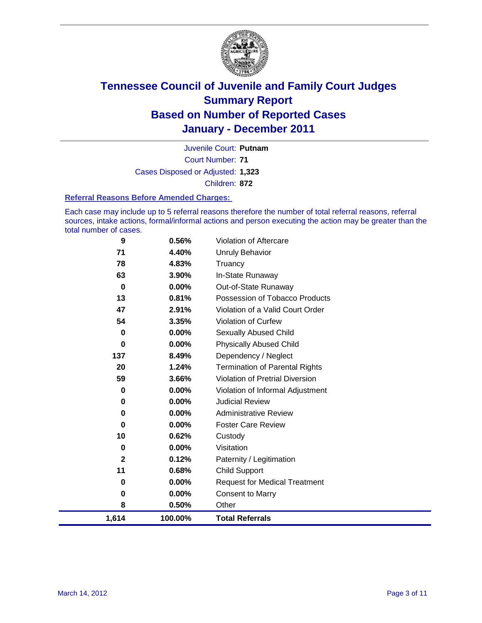

Court Number: **71** Juvenile Court: **Putnam** Cases Disposed or Adjusted: **1,323** Children: **872**

#### **Referral Reasons Before Amended Charges:**

Each case may include up to 5 referral reasons therefore the number of total referral reasons, referral sources, intake actions, formal/informal actions and person executing the action may be greater than the total number of cases.

| 9            | 0.56%   | Violation of Aftercare                 |
|--------------|---------|----------------------------------------|
| 71           | 4.40%   | <b>Unruly Behavior</b>                 |
| 78           | 4.83%   | Truancy                                |
| 63           | 3.90%   | In-State Runaway                       |
| 0            | 0.00%   | Out-of-State Runaway                   |
| 13           | 0.81%   | Possession of Tobacco Products         |
| 47           | 2.91%   | Violation of a Valid Court Order       |
| 54           | 3.35%   | Violation of Curfew                    |
| 0            | 0.00%   | Sexually Abused Child                  |
| $\bf{0}$     | 0.00%   | <b>Physically Abused Child</b>         |
| 137          | 8.49%   | Dependency / Neglect                   |
| 20           | 1.24%   | <b>Termination of Parental Rights</b>  |
| 59           | 3.66%   | <b>Violation of Pretrial Diversion</b> |
| 0            | 0.00%   | Violation of Informal Adjustment       |
| 0            | 0.00%   | <b>Judicial Review</b>                 |
| 0            | 0.00%   | <b>Administrative Review</b>           |
| 0            | 0.00%   | <b>Foster Care Review</b>              |
| 10           | 0.62%   | Custody                                |
| 0            | 0.00%   | Visitation                             |
| $\mathbf{2}$ | 0.12%   | Paternity / Legitimation               |
| 11           | 0.68%   | <b>Child Support</b>                   |
| $\bf{0}$     | 0.00%   | <b>Request for Medical Treatment</b>   |
| 0            | 0.00%   | <b>Consent to Marry</b>                |
| 8            | 0.50%   | Other                                  |
| 1,614        | 100.00% | <b>Total Referrals</b>                 |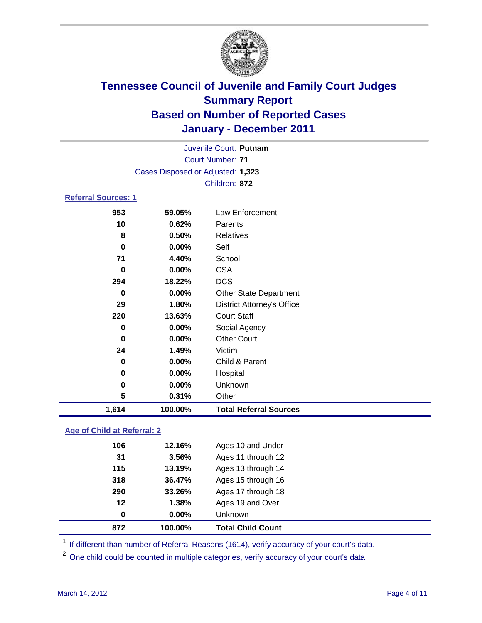

|                            |          | Juvenile Court: Putnam            |
|----------------------------|----------|-----------------------------------|
|                            |          | <b>Court Number: 71</b>           |
|                            |          | Cases Disposed or Adjusted: 1,323 |
|                            |          | Children: 872                     |
| <b>Referral Sources: 1</b> |          |                                   |
| 953                        | 59.05%   | Law Enforcement                   |
| 10                         | 0.62%    | Parents                           |
| 8                          | 0.50%    | <b>Relatives</b>                  |
| 0                          | $0.00\%$ | Self                              |
| 71                         | 4.40%    | School                            |
| 0                          | $0.00\%$ | <b>CSA</b>                        |
| 294                        | 18.22%   | <b>DCS</b>                        |
| 0                          | $0.00\%$ | <b>Other State Department</b>     |
| 29                         | 1.80%    | <b>District Attorney's Office</b> |
| 220                        | 13.63%   | <b>Court Staff</b>                |
| 0                          | $0.00\%$ | Social Agency                     |
| 0                          | $0.00\%$ | <b>Other Court</b>                |
| 24                         | 1.49%    | Victim                            |
| 0                          | $0.00\%$ | Child & Parent                    |
| 0                          | $0.00\%$ | Hospital                          |
| 0                          | $0.00\%$ | Unknown                           |
| 5                          | 0.31%    | Other                             |

### **Age of Child at Referral: 2**

| 872 | 100.00%  | <b>Total Child Count</b> |
|-----|----------|--------------------------|
| 0   | $0.00\%$ | <b>Unknown</b>           |
| 12  | 1.38%    | Ages 19 and Over         |
| 290 | 33.26%   | Ages 17 through 18       |
| 318 | 36.47%   | Ages 15 through 16       |
| 115 | 13.19%   | Ages 13 through 14       |
| 31  | 3.56%    | Ages 11 through 12       |
| 106 | 12.16%   | Ages 10 and Under        |
|     |          |                          |

<sup>1</sup> If different than number of Referral Reasons (1614), verify accuracy of your court's data.

<sup>2</sup> One child could be counted in multiple categories, verify accuracy of your court's data

**1,614 100.00% Total Referral Sources**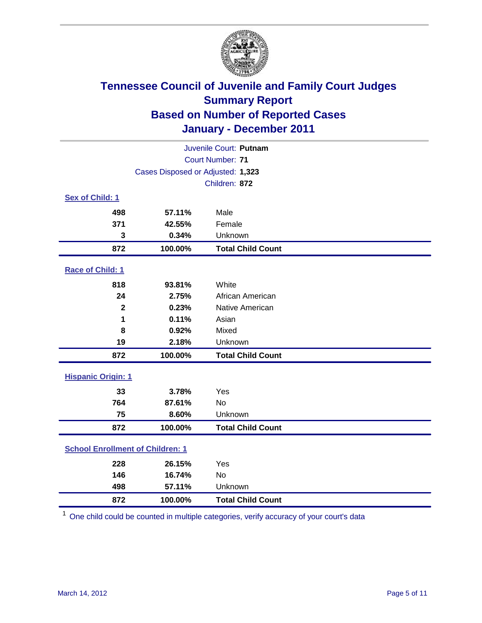

| Juvenile Court: Putnam                  |                                   |                          |  |  |  |
|-----------------------------------------|-----------------------------------|--------------------------|--|--|--|
|                                         |                                   | <b>Court Number: 71</b>  |  |  |  |
|                                         | Cases Disposed or Adjusted: 1,323 |                          |  |  |  |
|                                         |                                   | Children: 872            |  |  |  |
| Sex of Child: 1                         |                                   |                          |  |  |  |
| 498                                     | 57.11%                            | Male                     |  |  |  |
| 371                                     | 42.55%                            | Female                   |  |  |  |
| 3                                       | 0.34%                             | Unknown                  |  |  |  |
| 872                                     | 100.00%                           | <b>Total Child Count</b> |  |  |  |
| Race of Child: 1                        |                                   |                          |  |  |  |
| 818                                     | 93.81%                            | White                    |  |  |  |
| 24                                      | 2.75%                             | African American         |  |  |  |
| $\overline{\mathbf{2}}$                 | 0.23%                             | Native American          |  |  |  |
| 1                                       | 0.11%                             | Asian                    |  |  |  |
| 8                                       | 0.92%                             | Mixed                    |  |  |  |
| 19                                      | 2.18%                             | Unknown                  |  |  |  |
| 872                                     | 100.00%                           | <b>Total Child Count</b> |  |  |  |
| <b>Hispanic Origin: 1</b>               |                                   |                          |  |  |  |
| 33                                      | 3.78%                             | Yes                      |  |  |  |
| 764                                     | 87.61%                            | No                       |  |  |  |
| 75                                      | 8.60%                             | Unknown                  |  |  |  |
| 872                                     | 100.00%                           | <b>Total Child Count</b> |  |  |  |
| <b>School Enrollment of Children: 1</b> |                                   |                          |  |  |  |
| 228                                     | 26.15%                            | Yes                      |  |  |  |
| 146                                     | 16.74%                            | No                       |  |  |  |
| 498                                     | 57.11%                            | Unknown                  |  |  |  |
| 872                                     | 100.00%                           | <b>Total Child Count</b> |  |  |  |

One child could be counted in multiple categories, verify accuracy of your court's data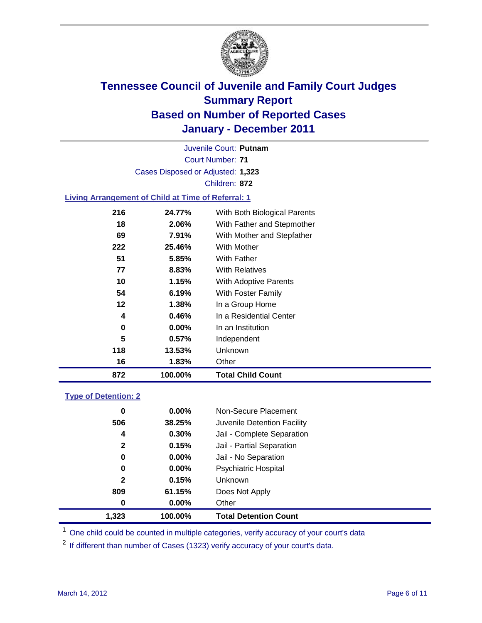

Court Number: **71** Juvenile Court: **Putnam** Cases Disposed or Adjusted: **1,323** Children: **872**

### **Living Arrangement of Child at Time of Referral: 1**

| 872 | 100.00%  | <b>Total Child Count</b>     |
|-----|----------|------------------------------|
| 16  | 1.83%    | Other                        |
| 118 | 13.53%   | <b>Unknown</b>               |
| 5   | $0.57\%$ | Independent                  |
| 0   | $0.00\%$ | In an Institution            |
| 4   | 0.46%    | In a Residential Center      |
| 12  | 1.38%    | In a Group Home              |
| 54  | 6.19%    | With Foster Family           |
| 10  | 1.15%    | With Adoptive Parents        |
| 77  | 8.83%    | <b>With Relatives</b>        |
| 51  | 5.85%    | With Father                  |
| 222 | 25.46%   | <b>With Mother</b>           |
| 69  | 7.91%    | With Mother and Stepfather   |
| 18  | 2.06%    | With Father and Stepmother   |
| 216 | 24.77%   | With Both Biological Parents |
|     |          |                              |

### **Type of Detention: 2**

| 1.323        | 100.00%  | <b>Total Detention Count</b> |  |
|--------------|----------|------------------------------|--|
| 0            | $0.00\%$ | Other                        |  |
| 809          | 61.15%   | Does Not Apply               |  |
| $\mathbf{2}$ | 0.15%    | Unknown                      |  |
| 0            | $0.00\%$ | <b>Psychiatric Hospital</b>  |  |
| 0            | 0.00%    | Jail - No Separation         |  |
| $\mathbf{2}$ | 0.15%    | Jail - Partial Separation    |  |
| 4            | 0.30%    | Jail - Complete Separation   |  |
| 506          | 38.25%   | Juvenile Detention Facility  |  |
| 0            | $0.00\%$ | Non-Secure Placement         |  |
|              |          |                              |  |

<sup>1</sup> One child could be counted in multiple categories, verify accuracy of your court's data

<sup>2</sup> If different than number of Cases (1323) verify accuracy of your court's data.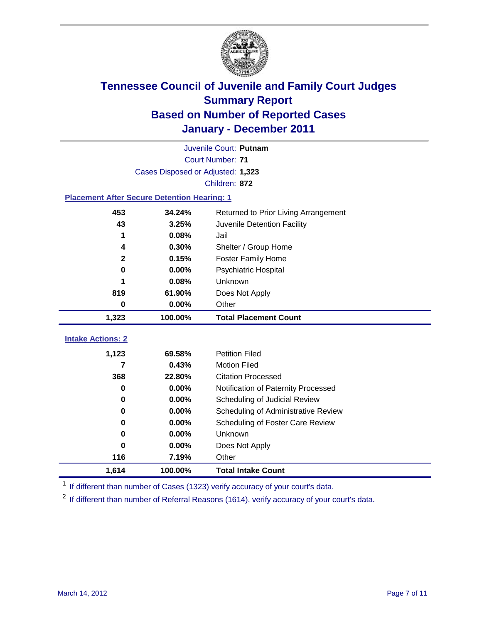

|                                                    | Juvenile Court: Putnam            |                                      |  |  |  |
|----------------------------------------------------|-----------------------------------|--------------------------------------|--|--|--|
|                                                    | <b>Court Number: 71</b>           |                                      |  |  |  |
|                                                    | Cases Disposed or Adjusted: 1,323 |                                      |  |  |  |
|                                                    |                                   | Children: 872                        |  |  |  |
| <b>Placement After Secure Detention Hearing: 1</b> |                                   |                                      |  |  |  |
| 453                                                | 34.24%                            | Returned to Prior Living Arrangement |  |  |  |
| 43                                                 | 3.25%                             | Juvenile Detention Facility          |  |  |  |
| 1                                                  | 0.08%                             | Jail                                 |  |  |  |
| 4                                                  | 0.30%                             | Shelter / Group Home                 |  |  |  |
| $\mathbf{2}$                                       | 0.15%                             | Foster Family Home                   |  |  |  |
| $\bf{0}$                                           | 0.00%                             | Psychiatric Hospital                 |  |  |  |
|                                                    | 0.08%                             | Unknown                              |  |  |  |
| 819                                                | 61.90%                            | Does Not Apply                       |  |  |  |
| $\bf{0}$                                           | 0.00%                             | Other                                |  |  |  |
| 1,323                                              | 100.00%                           | <b>Total Placement Count</b>         |  |  |  |
|                                                    |                                   |                                      |  |  |  |
| <b>Intake Actions: 2</b>                           |                                   |                                      |  |  |  |
| 1,123                                              | 69.58%                            | <b>Petition Filed</b>                |  |  |  |
| 7                                                  | 0.43%                             | <b>Motion Filed</b>                  |  |  |  |
| 368                                                | 22.80%                            | <b>Citation Processed</b>            |  |  |  |
| $\bf{0}$                                           | 0.00%                             | Notification of Paternity Processed  |  |  |  |
| $\bf{0}$                                           | 0.00%                             | Scheduling of Judicial Review        |  |  |  |
| 0                                                  | 0.00%                             | Scheduling of Administrative Review  |  |  |  |
| 0                                                  | 0.00%                             | Scheduling of Foster Care Review     |  |  |  |
| 0                                                  | 0.00%                             | Unknown                              |  |  |  |
| 0                                                  | 0.00%                             | Does Not Apply                       |  |  |  |
| 116                                                | 7.19%                             | Other                                |  |  |  |
| 1,614                                              | 100.00%                           | <b>Total Intake Count</b>            |  |  |  |

<sup>1</sup> If different than number of Cases (1323) verify accuracy of your court's data.

<sup>2</sup> If different than number of Referral Reasons (1614), verify accuracy of your court's data.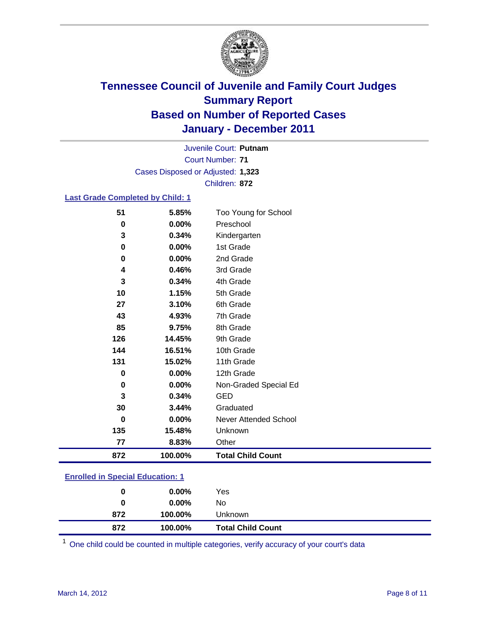

Court Number: **71** Juvenile Court: **Putnam** Cases Disposed or Adjusted: **1,323** Children: **872**

### **Last Grade Completed by Child: 1**

| 872           | 100.00%        | <b>Total Child Count</b>  |
|---------------|----------------|---------------------------|
| 77            | 8.83%          | Other                     |
| 135           | 15.48%         | Unknown                   |
| 0             | 0.00%          | Never Attended School     |
| 30            | 3.44%          | Graduated                 |
| 3             | 0.34%          | <b>GED</b>                |
| 0             | 0.00%          | Non-Graded Special Ed     |
| 0             | 0.00%          | 12th Grade                |
| 131           | 15.02%         | 11th Grade                |
| 144           | 16.51%         | 10th Grade                |
| 126           | 14.45%         | 9th Grade                 |
| 85            | 9.75%          | 8th Grade                 |
| 43            | 4.93%          | 7th Grade                 |
| 27            | 3.10%          | 6th Grade                 |
| 10            | 1.15%          | 5th Grade                 |
| 3             | 0.34%          | 4th Grade                 |
| 4             | 0.46%          | 3rd Grade                 |
| 0             | 0.00%          | 2nd Grade                 |
| 3<br>$\bf{0}$ | 0.34%<br>0.00% | Kindergarten<br>1st Grade |
| 0             | 0.00%          | Preschool                 |
| 51            | 5.85%          | Too Young for School      |

#### **Enrolled in Special Education: 1**

| 872 | 100.00%  | <b>Total Child Count</b> |
|-----|----------|--------------------------|
| 872 | 100.00%  | <b>Unknown</b>           |
| 0   | $0.00\%$ | No                       |
| 0   | $0.00\%$ | Yes                      |
|     |          |                          |

One child could be counted in multiple categories, verify accuracy of your court's data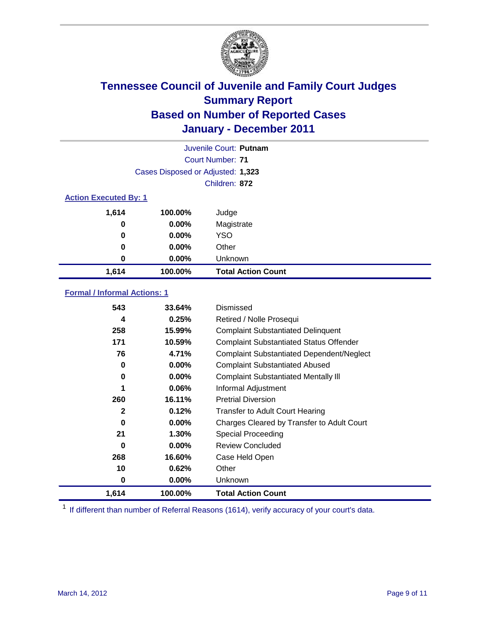

|                              | Juvenile Court: Putnam            |                           |  |  |  |
|------------------------------|-----------------------------------|---------------------------|--|--|--|
|                              | Court Number: 71                  |                           |  |  |  |
|                              | Cases Disposed or Adjusted: 1,323 |                           |  |  |  |
|                              | Children: 872                     |                           |  |  |  |
| <b>Action Executed By: 1</b> |                                   |                           |  |  |  |
| 1,614                        | 100.00%                           | Judge                     |  |  |  |
| 0                            | $0.00\%$                          | Magistrate                |  |  |  |
| $\bf{0}$                     | $0.00\%$                          | <b>YSO</b>                |  |  |  |
| 0                            | $0.00\%$                          | Other                     |  |  |  |
| 0                            | $0.00\%$                          | Unknown                   |  |  |  |
| 1,614                        | 100.00%                           | <b>Total Action Count</b> |  |  |  |

### **Formal / Informal Actions: 1**

| 543          | 33.64%   | Dismissed                                        |
|--------------|----------|--------------------------------------------------|
| 4            | 0.25%    | Retired / Nolle Prosequi                         |
| 258          | 15.99%   | <b>Complaint Substantiated Delinquent</b>        |
| 171          | 10.59%   | <b>Complaint Substantiated Status Offender</b>   |
| 76           | 4.71%    | <b>Complaint Substantiated Dependent/Neglect</b> |
| 0            | $0.00\%$ | <b>Complaint Substantiated Abused</b>            |
| 0            | $0.00\%$ | <b>Complaint Substantiated Mentally III</b>      |
| 1            | $0.06\%$ | Informal Adjustment                              |
| 260          | 16.11%   | <b>Pretrial Diversion</b>                        |
| $\mathbf{2}$ | 0.12%    | <b>Transfer to Adult Court Hearing</b>           |
| 0            | $0.00\%$ | Charges Cleared by Transfer to Adult Court       |
| 21           | 1.30%    | Special Proceeding                               |
| 0            | $0.00\%$ | <b>Review Concluded</b>                          |
| 268          | 16.60%   | Case Held Open                                   |
| 10           | 0.62%    | Other                                            |
| 0            | $0.00\%$ | <b>Unknown</b>                                   |
| 1,614        | 100.00%  | <b>Total Action Count</b>                        |

<sup>1</sup> If different than number of Referral Reasons (1614), verify accuracy of your court's data.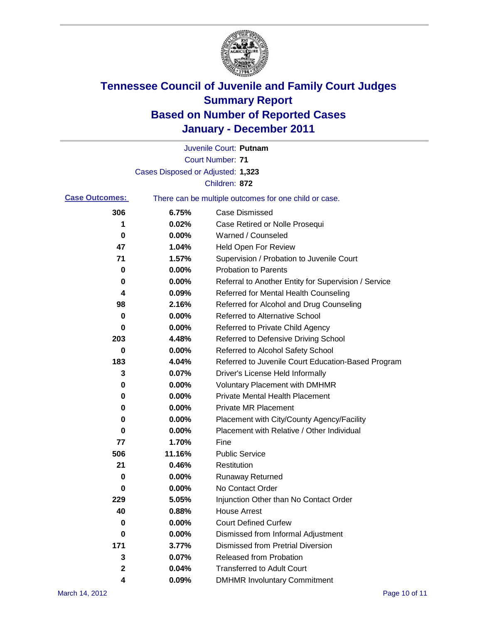

|                       |                                                       | Juvenile Court: Putnam                               |  |
|-----------------------|-------------------------------------------------------|------------------------------------------------------|--|
|                       |                                                       | <b>Court Number: 71</b>                              |  |
|                       | Cases Disposed or Adjusted: 1,323                     |                                                      |  |
|                       |                                                       | Children: 872                                        |  |
| <b>Case Outcomes:</b> | There can be multiple outcomes for one child or case. |                                                      |  |
| 306                   | 6.75%                                                 | <b>Case Dismissed</b>                                |  |
| 1                     | 0.02%                                                 | Case Retired or Nolle Prosequi                       |  |
| 0                     | 0.00%                                                 | Warned / Counseled                                   |  |
| 47                    | 1.04%                                                 | <b>Held Open For Review</b>                          |  |
| 71                    | 1.57%                                                 | Supervision / Probation to Juvenile Court            |  |
| 0                     | 0.00%                                                 | <b>Probation to Parents</b>                          |  |
| 0                     | 0.00%                                                 | Referral to Another Entity for Supervision / Service |  |
| 4                     | 0.09%                                                 | Referred for Mental Health Counseling                |  |
| 98                    | 2.16%                                                 | Referred for Alcohol and Drug Counseling             |  |
| 0                     | 0.00%                                                 | <b>Referred to Alternative School</b>                |  |
| 0                     | 0.00%                                                 | Referred to Private Child Agency                     |  |
| 203                   | 4.48%                                                 | Referred to Defensive Driving School                 |  |
| 0                     | 0.00%                                                 | Referred to Alcohol Safety School                    |  |
| 183                   | 4.04%                                                 | Referred to Juvenile Court Education-Based Program   |  |
| 3                     | 0.07%                                                 | Driver's License Held Informally                     |  |
| 0                     | 0.00%                                                 | <b>Voluntary Placement with DMHMR</b>                |  |
| 0                     | 0.00%                                                 | <b>Private Mental Health Placement</b>               |  |
| 0                     | 0.00%                                                 | <b>Private MR Placement</b>                          |  |
| 0                     | 0.00%                                                 | Placement with City/County Agency/Facility           |  |
| 0                     | 0.00%                                                 | Placement with Relative / Other Individual           |  |
| 77                    | 1.70%                                                 | Fine                                                 |  |
| 506                   | 11.16%                                                | <b>Public Service</b>                                |  |
| 21                    | 0.46%                                                 | Restitution                                          |  |
| 0                     | 0.00%                                                 | <b>Runaway Returned</b>                              |  |
| 0                     | 0.00%                                                 | No Contact Order                                     |  |
| 229                   | 5.05%                                                 | Injunction Other than No Contact Order               |  |
| 40                    | 0.88%                                                 | <b>House Arrest</b>                                  |  |
| 0                     | 0.00%                                                 | <b>Court Defined Curfew</b>                          |  |
| 0                     | 0.00%                                                 | Dismissed from Informal Adjustment                   |  |
| 171                   | 3.77%                                                 | <b>Dismissed from Pretrial Diversion</b>             |  |
| 3                     | 0.07%                                                 | Released from Probation                              |  |
| 2                     | 0.04%                                                 | <b>Transferred to Adult Court</b>                    |  |
| 4                     | 0.09%                                                 | <b>DMHMR Involuntary Commitment</b>                  |  |